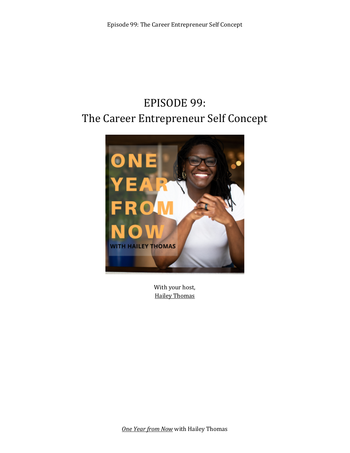## EPISODE 99: The Career Entrepreneur Self Concept



With your host, **Hailey Thomas** 

**One Year from Now** with Hailey Thomas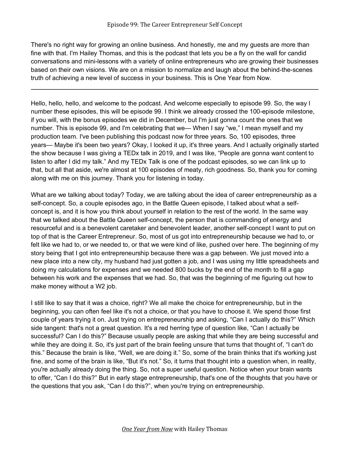There's no right way for growing an online business. And honestly, me and my guests are more than fine with that. I'm Hailey Thomas, and this is the podcast that lets you be a fly on the wall for candid conversations and mini-lessons with a variety of online entrepreneurs who are growing their businesses based on their own visions. We are on a mission to normalize and laugh about the behind-the-scenes truth of achieving a new level of success in your business. This is One Year from Now.

Hello, hello, hello, and welcome to the podcast. And welcome especially to episode 99. So, the way I number these episodes, this will be episode 99. I think we already crossed the 100-episode milestone, if you will, with the bonus episodes we did in December, but I'm just gonna count the ones that we number. This is episode 99, and I'm celebrating that we— When I say "we," I mean myself and my production team. I've been publishing this podcast now for three years. So, 100 episodes, three years— Maybe it's been two years? Okay, I looked it up, it's three years. And I actually originally started the show because I was giving a TEDx talk in 2019, and I was like, "People are gonna want content to listen to after I did my talk." And my TEDx Talk is one of the podcast episodes, so we can link up to that, but all that aside, we're almost at 100 episodes of meaty, rich goodness. So, thank you for coming along with me on this journey. Thank you for listening in today.

What are we talking about today? Today, we are talking about the idea of career entrepreneurship as a self-concept. So, a couple episodes ago, in the Battle Queen episode, I talked about what a selfconcept is, and it is how you think about yourself in relation to the rest of the world. In the same way that we talked about the Battle Queen self-concept, the person that is commanding of energy and resourceful and is a benevolent caretaker and benevolent leader, another self-concept I want to put on top of that is the Career Entrepreneur. So, most of us got into entrepreneurship because we had to, or felt like we had to, or we needed to, or that we were kind of like, pushed over here. The beginning of my story being that I got into entrepreneurship because there was a gap between. We just moved into a new place into a new city, my husband had just gotten a job, and I was using my little spreadsheets and doing my calculations for expenses and we needed 800 bucks by the end of the month to fill a gap between his work and the expenses that we had. So, that was the beginning of me figuring out how to make money without a W2 job.

I still like to say that it was a choice, right? We all make the choice for entrepreneurship, but in the beginning, you can often feel like it's not a choice, or that you have to choose it. We spend those first couple of years trying it on. Just trying on entrepreneurship and asking, "Can I actually do this?" Which side tangent: that's not a great question. It's a red herring type of question like, "Can I actually be successful? Can I do this?" Because usually people are asking that while they are being successful and while they are doing it. So, it's just part of the brain feeling unsure that turns that thought of, "I can't do this." Because the brain is like, "Well, we are doing it." So, some of the brain thinks that it's working just fine, and some of the brain is like, "But it's not." So, it turns that thought into a question when, in reality, you're actually already doing the thing. So, not a super useful question. Notice when your brain wants to offer, "Can I do this?" But in early stage entrepreneurship, that's one of the thoughts that you have or the questions that you ask, "Can I do this?", when you're trying on entrepreneurship.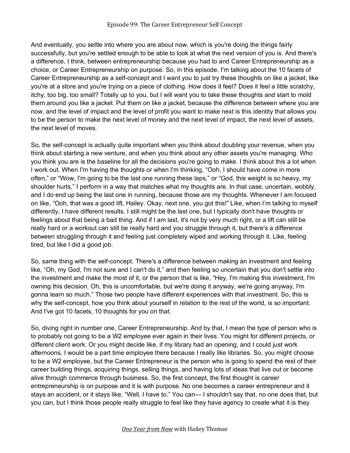And eventually, you settle into where you are about now, which is you're doing the things fairly successfully, but you're settled enough to be able to look at what the next version of you is. And there's a difference, I think, between entrepreneurship because you had to and Career Entrepreneurship as a choice, or Career Entrepreneurship on purpose. So, in this episode, I'm talking about the 10 facets of Career Entrepreneurship as a self-concept and I want you to just try these thoughts on like a jacket, like you're at a store and you're trying on a piece of clothing. How does it feel? Does it feel a little scratchy, itchy, too big, too small? Totally up to you, but I will want you to take these thoughts and start to mold them around you like a jacket. Put them on like a jacket, because the difference between where you are now, and the level of impact and the level of profit you want to make next is this identity that allows you to be the person to make the next level of money and the next level of impact, the next level of assets, the next level of moves.

So, the self-concept is actually quite important when you think about doubling your revenue, when you think about starting a new venture, and when you think about any other assets you're managing. Who you think you are is the baseline for all the decisions you're going to make. I think about this a lot when I work out. When I'm having the thoughts or when I'm thinking, "Ooh, I should have come in more often," or "Wow, I'm going to be the last one running these laps," or "God, this weight is so heavy, my shoulder hurts," I perform in a way that matches what my thoughts are. In that case, uncertain, wobbly, and I do end up being the last one in running, because those are my thoughts. Whenever I am focused on like, "Ooh, that was a good lift, Hailey. Okay, next one, you got this!" Like, when I'm talking to myself differently, I have different results. I still might be the last one, but I typically don't have thoughts or feelings about that being a bad thing. And if I am last, it's not by very much right, or a lift can still be really hard or a workout can still be really hard and you struggle through it, but there's a difference between struggling through it and feeling just completely wiped and working through it. Like, feeling tired, but like I did a good job.

So, same thing with the self-concept. There's a difference between making an investment and feeling like, "Oh, my God, I'm not sure and I can't do it," and then feeling so uncertain that you don't settle into the investment and make the most of it, or the person that is like, "Hey, I'm making this investment, I'm owning this decision. Oh, this is uncomfortable, but we're doing it anyway, we're going anyway, I'm gonna learn so much." Those two people have different experiences with that investment. So, this is why the self-concept, how you think about yourself in relation to the rest of the world, is so important. And I've got 10 facets, 10 thoughts for you on that.

So, diving right in number one, Career Entrepreneurship. And by that, I mean the type of person who is to probably not going to be a W2 employee ever again in their lives. You might for different projects, or different client work. Or you might decide like, if my library had an opening, and I could just work afternoons, I would be a part time employee there because I really like libraries. So, you might choose to be a W2 employee, but the Career Entrepreneur is the person who is going to spend the rest of their career building things, acquiring things, selling things, and having lots of ideas that live out or become alive through commerce through business. So, the first concept, the first thought is career entrepreneurship is on purpose and it is with purpose. No one becomes a career entrepreneur and it stays an accident, or it stays like, "Well, I have to." You can— I shouldn't say that, no one does that, but you can, but I think those people really struggle to feel like they have agency to create what it is they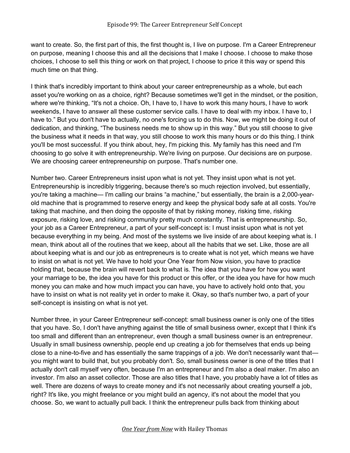want to create. So, the first part of this, the first thought is, I live on purpose. I'm a Career Entrepreneur on purpose, meaning I choose this and all the decisions that I make I choose. I choose to make those choices, I choose to sell this thing or work on that project, I choose to price it this way or spend this much time on that thing.

I think that's incredibly important to think about your career entrepreneurship as a whole, but each asset you're working on as a choice, right? Because sometimes we'll get in the mindset, or the position, where we're thinking, "It's not a choice. Oh, I have to, I have to work this many hours, I have to work weekends, I have to answer all these customer service calls. I have to deal with my inbox. I have to, I have to." But you don't have to actually, no one's forcing us to do this. Now, we might be doing it out of dedication, and thinking, "The business needs me to show up in this way." But you still choose to give the business what it needs in that way, you still choose to work this many hours or do this thing. I think you'll be most successful. If you think about, hey, I'm picking this. My family has this need and I'm choosing to go solve it with entrepreneurship. We're living on purpose. Our decisions are on purpose. We are choosing career entrepreneurship on purpose. That's number one.

Number two. Career Entrepreneurs insist upon what is not yet. They insist upon what is not yet. Entrepreneurship is incredibly triggering, because there's so much rejection involved, but essentially, you're taking a machine— I'm calling our brains "a machine," but essentially, the brain is a 2,000-yearold machine that is programmed to reserve energy and keep the physical body safe at all costs. You're taking that machine, and then doing the opposite of that by risking money, risking time, risking exposure, risking love, and risking community pretty much constantly. That is entrepreneurship. So, your job as a Career Entrepreneur, a part of your self-concept is: I must insist upon what is not yet because everything in my being. And most of the systems we live inside of are about keeping what is. I mean, think about all of the routines that we keep, about all the habits that we set. Like, those are all about keeping what is and our job as entrepreneurs is to create what is not yet, which means we have to insist on what is not yet. We have to hold your One Year from Now vision, you have to practice holding that, because the brain will revert back to what is. The idea that you have for how you want your marriage to be, the idea you have for this product or this offer, or the idea you have for how much money you can make and how much impact you can have, you have to actively hold onto that, you have to insist on what is not reality yet in order to make it. Okay, so that's number two, a part of your self-concept is insisting on what is not yet.

Number three, in your Career Entrepreneur self-concept: small business owner is only one of the titles that you have. So, I don't have anything against the title of small business owner, except that I think it's too small and different than an entrepreneur, even though a small business owner is an entrepreneur. Usually in small business ownership, people end up creating a job for themselves that ends up being close to a nine-to-five and has essentially the same trappings of a job. We don't necessarily want that you might want to build that, but you probably don't. So, small business owner is one of the titles that I actually don't call myself very often, because I'm an entrepreneur and I'm also a deal maker. I'm also an investor. I'm also an asset collector. Those are also titles that I have, you probably have a lot of titles as well. There are dozens of ways to create money and it's not necessarily about creating yourself a job, right? It's like, you might freelance or you might build an agency, it's not about the model that you choose. So, we want to actually pull back. I think the entrepreneur pulls back from thinking about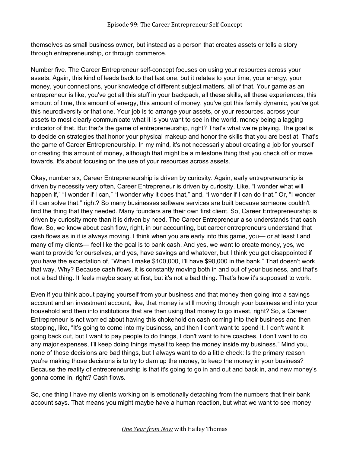themselves as small business owner, but instead as a person that creates assets or tells a story through entrepreneurship, or through commerce.

Number five. The Career Entrepreneur self-concept focuses on using your resources across your assets. Again, this kind of leads back to that last one, but it relates to your time, your energy, your money, your connections, your knowledge of different subject matters, all of that. Your game as an entrepreneur is like, you've got all this stuff in your backpack, all these skills, all these experiences, this amount of time, this amount of energy, this amount of money, you've got this family dynamic, you've got this neurodiversity or that one. Your job is to arrange your assets, or your resources, across your assets to most clearly communicate what it is you want to see in the world, money being a lagging indicator of that. But that's the game of entrepreneurship, right? That's what we're playing. The goal is to decide on strategies that honor your physical makeup and honor the skills that you are best at. That's the game of Career Entrepreneurship. In my mind, it's not necessarily about creating a job for yourself or creating this amount of money, although that might be a milestone thing that you check off or move towards. It's about focusing on the use of your resources across assets.

Okay, number six, Career Entrepreneurship is driven by curiosity. Again, early entrepreneurship is driven by necessity very often, Career Entrepreneur is driven by curiosity. Like, "I wonder what will happen if," "I wonder if I can," "I wonder why it does that," and, "I wonder if I can do that." Or, "I wonder if I can solve that," right? So many businesses software services are built because someone couldn't find the thing that they needed. Many founders are their own first client. So, Career Entrepreneurship is driven by curiosity more than it is driven by need. The Career Entrepreneur also understands that cash flow. So, we know about cash flow, right, in our accounting, but career entrepreneurs understand that cash flows as in it is always moving. I think when you are early into this game, you— or at least I and many of my clients— feel like the goal is to bank cash. And yes, we want to create money, yes, we want to provide for ourselves, and yes, have savings and whatever, but I think you get disappointed if you have the expectation of, "When I make \$100,000, I'll have \$90,000 in the bank." That doesn't work that way. Why? Because cash flows, it is constantly moving both in and out of your business, and that's not a bad thing. It feels maybe scary at first, but it's not a bad thing. That's how it's supposed to work.

Even if you think about paying yourself from your business and that money then going into a savings account and an investment account, like, that money is still moving through your business and into your household and then into institutions that are then using that money to go invest, right? So, a Career Entrepreneur is not worried about having this chokehold on cash coming into their business and then stopping, like, "It's going to come into my business, and then I don't want to spend it, I don't want it going back out, but I want to pay people to do things, I don't want to hire coaches, I don't want to do any major expenses, I'll keep doing things myself to keep the money inside my business." Mind you, none of those decisions are bad things, but I always want to do a little check: Is the primary reason you're making those decisions is to try to dam up the money, to keep the money in your business? Because the reality of entrepreneurship is that it's going to go in and out and back in, and new money's gonna come in, right? Cash flows.

So, one thing I have my clients working on is emotionally detaching from the numbers that their bank account says. That means you might maybe have a human reaction, but what we want to see money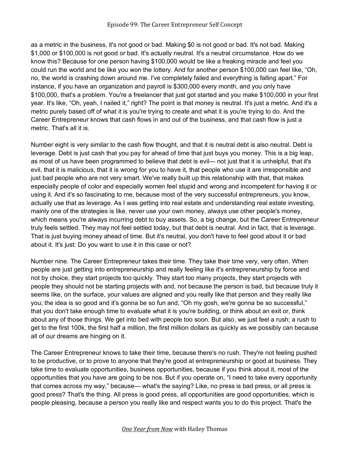as a metric in the business, it's not good or bad. Making \$0 is not good or bad. It's not bad. Making \$1,000 or \$100,000 is not good or bad. It's actually neutral. It's a neutral circumstance. How do we know this? Because for one person having \$100,000 would be like a freaking miracle and feel you could run the world and be like you won the lottery. And for another person \$100,000 can feel like, "Oh, no, the world is crashing down around me. I've completely failed and everything is falling apart." For instance, if you have an organization and payroll is \$300,000 every month, and you only have \$100,000, that's a problem. You're a freelancer that just got started and you make \$100,000 in your first year. It's like, "Oh, yeah, I nailed it," right? The point is that money is neutral. It's just a metric. And it's a metric purely based off of what it is you're trying to create and what it is you're trying to do. And the Career Entrepreneur knows that cash flows in and out of the business, and that cash flow is just a metric. That's all it is.

Number eight is very similar to the cash flow thought, and that it is neutral debt is also neutral. Debt is leverage. Debt is just cash that you pay for ahead of time that just buys you money. This is a big leap, as most of us have been programmed to believe that debt is evil— not just that it is unhelpful, that it's evil, that it is malicious, that it is wrong for you to have it, that people who use it are irresponsible and just bad people who are not very smart. We've really built up this relationship with that, that makes especially people of color and especially women feel stupid and wrong and incompetent for having it or using it. And it's so fascinating to me, because most of the very successful entrepreneurs, you know, actually use that as leverage. As I was getting into real estate and understanding real estate investing, mainly one of the strategies is like, never use your own money, always use other people's money, which means you're always incurring debt to buy assets. So, a big change, but the Career Entrepreneur truly feels settled. They may not feel settled today, but that debt is neutral. And in fact, that is leverage. That is just buying money ahead of time. But it's neutral, you don't have to feel good about it or bad about it. It's just: Do you want to use it in this case or not?

Number nine. The Career Entrepreneur takes their time. They take their time very, very often. When people are just getting into entrepreneurship and really feeling like it's entrepreneurship by force and not by choice, they start projects too quickly. They start too many projects, they start projects with people they should not be starting projects with and, not because the person is bad, but because truly it seems like, on the surface, your values are aligned and you really like that person and they really like you; the idea is so good and it's gonna be so fun and, "Oh my gosh, we're gonna be so successful," that you don't take enough time to evaluate what it is you're building, or think about an exit or, think about any of those things. We get into bed with people too soon. But also, we just feel a rush; a rush to get to the first 100k, the first half a million, the first million dollars as quickly as we possibly can because all of our dreams are hinging on it.

The Career Entrepreneur knows to take their time, because there's no rush. They're not feeling pushed to be productive, or to prove to anyone that they're good at entrepreneurship or good at business. They take time to evaluate opportunities, business opportunities, because if you think about it, most of the opportunities that you have are going to be nos. But if you operate on, "I need to take every opportunity that comes across my way," because— what's the saying? Like, no press is bad press, or all press is good press? That's the thing. All press is good press, all opportunities are good opportunities, which is people pleasing, because a person you really like and respect wants you to do this project. That's the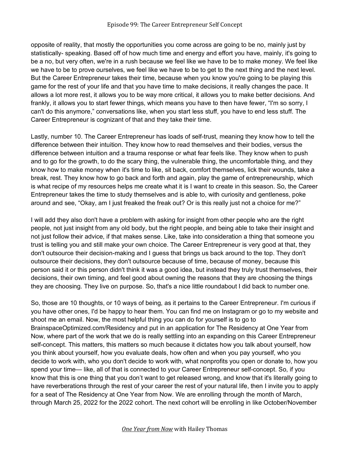opposite of reality, that mostly the opportunities you come across are going to be no, mainly just by statistically- speaking. Based off of how much time and energy and effort you have, mainly, it's going to be a no, but very often, we're in a rush because we feel like we have to be to make money. We feel like we have to be to prove ourselves, we feel like we have to be to get to the next thing and the next level. But the Career Entrepreneur takes their time, because when you know you're going to be playing this game for the rest of your life and that you have time to make decisions, it really changes the pace. It allows a lot more rest, it allows you to be way more critical, it allows you to make better decisions. And frankly, it allows you to start fewer things, which means you have to then have fewer, "I'm so sorry, I can't do this anymore," conversations like, when you start less stuff, you have to end less stuff. The Career Entrepreneur is cognizant of that and they take their time.

Lastly, number 10. The Career Entrepreneur has loads of self-trust, meaning they know how to tell the difference between their intuition. They know how to read themselves and their bodies, versus the difference between intuition and a trauma response or what fear feels like. They know when to push and to go for the growth, to do the scary thing, the vulnerable thing, the uncomfortable thing, and they know how to make money when it's time to like, sit back, comfort themselves, lick their wounds, take a break, rest. They know how to go back and forth and again, play the game of entrepreneurship, which is what recipe of my resources helps me create what it is I want to create in this season. So, the Career Entrepreneur takes the time to study themselves and is able to, with curiosity and gentleness, poke around and see, "Okay, am I just freaked the freak out? Or is this really just not a choice for me?"

I will add they also don't have a problem with asking for insight from other people who are the right people, not just insight from any old body, but the right people, and being able to take their insight and not just follow their advice, if that makes sense. Like, take into consideration a thing that someone you trust is telling you and still make your own choice. The Career Entrepreneur is very good at that, they don't outsource their decision-making and I guess that brings us back around to the top. They don't outsource their decisions, they don't outsource because of time, because of money, because this person said it or this person didn't think it was a good idea, but instead they truly trust themselves, their decisions, their own timing, and feel good about owning the reasons that they are choosing the things they are choosing. They live on purpose. So, that's a nice little roundabout I did back to number one.

So, those are 10 thoughts, or 10 ways of being, as it pertains to the Career Entrepreneur. I'm curious if you have other ones, I'd be happy to hear them. You can find me on Instagram or go to my website and shoot me an email. Now, the most helpful thing you can do for yourself is to go to BrainspaceOptimized.com/Residency and put in an application for The Residency at One Year from Now, where part of the work that we do is really settling into an expanding on this Career Entrepreneur self-concept. This matters, this matters so much because it dictates how you talk about yourself, how you think about yourself, how you evaluate deals, how often and when you pay yourself, who you decide to work with, who you don't decide to work with, what nonprofits you open or donate to, how you spend your time— like, all of that is connected to your Career Entrepreneur self-concept. So, if you know that this is one thing that you don't want to get released wrong, and know that it's literally going to have reverberations through the rest of your career the rest of your natural life, then I invite you to apply for a seat of The Residency at One Year from Now. We are enrolling through the month of March, through March 25, 2022 for the 2022 cohort. The next cohort will be enrolling in like October/November